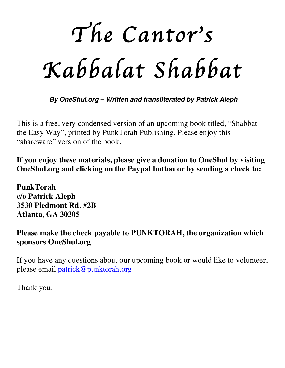*The Cantor*'*s Kabbalat Shabbat* 

*By OneShul.org – Written and transliterated by Patrick Aleph*

This is a free, very condensed version of an upcoming book titled, "Shabbat the Easy Way", printed by PunkTorah Publishing. Please enjoy this "shareware" version of the book.

**If you enjoy these materials, please give a donation to OneShul by visiting OneShul.org and clicking on the Paypal button or by sending a check to:**

**PunkTorah c/o Patrick Aleph 3530 Piedmont Rd. #2B Atlanta, GA 30305**

**Please make the check payable to PUNKTORAH, the organization which sponsors OneShul.org**

If you have any questions about our upcoming book or would like to volunteer, please email patrick@punktorah.org

Thank you.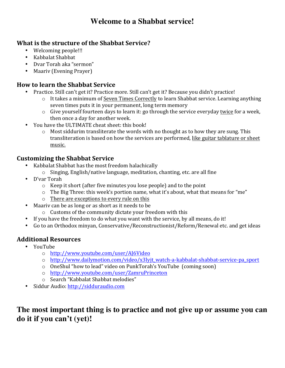## **Welcome to a Shabbat service!**

#### **What is the structure of the Shabbat Service?**

- Welcoming people!!!
- Kabbalat Shabbat
- Dvar Torah aka "sermon"
- Maariv (Evening Prayer)

#### **How to learn the Shabbat Service**

- Practice. Still can't get it? Practice more. Still can't get it? Because you didn't practice!
	- o It takes a minimum of Seven Times Correctly to learn Shabbat service. Learning anything seven times puts it in your permanent, long term memory
	- $\circ$  Give yourself fourteen days to learn it: go through the service everyday twice for a week, then once a day for another week.
- You have the ULTIMATE cheat sheet: this book!
	- $\circ$  Most siddurim transliterate the words with no thought as to how they are sung. This transliteration is based on how the services are performed, like guitar tablature or sheet music.

#### **Customizing the Shabbat Service**

- Kabbalat Shabbat has the most freedom halachically
	- $\circ$  Singing, English/native language, meditation, chanting, etc. are all fine
- D'var Torah
	- $\circ$  Keep it short (after five minutes you lose people) and to the point
	- $\circ$  The Big Three: this week's portion name, what it's about, what that means for "me"
	- $\circ$  There are exceptions to every rule on this
- Maariv can be as long or as short as it needs to be
	- $\circ$  Customs of the community dictate your freedom with this
- If you have the freedom to do what you want with the service, by all means, do it!
- Go to an Orthodox minyan, Conservative/Reconstructionist/Reform/Renewal etc. and get ideas

#### **Additional Resources**

- YouTube
	- o http://www.youtube.com/user/AJ6Video
	- o http://www.dailymotion.com/video/x3lyjt\_watch-a-kabbalat-shabbat-service-pa\_sport
	- $\circ$  OneShul "how to lead" video on PunkTorah's YouTube (coming soon)
	- o http://www.youtube.com/user/ZamruPrinceton
	- o Search "Kabbalat Shabbat melodies"
- Siddur Audio: http://sidduraudio.com

# **The most important thing is to practice and not give up or assume you can do it if you can't (yet)!**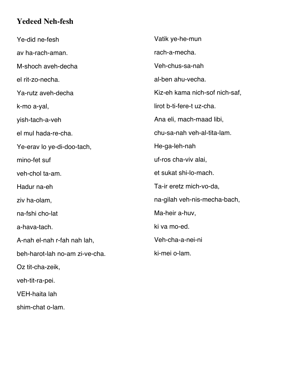## **Yedeed Neh-fesh**

Ye-did ne-fesh av ha-rach-aman. M-shoch aveh-decha el rit-zo-necha. Ya-rutz aveh-decha k-mo a-yal, yish-tach-a-veh el mul hada-re-cha. Ye-erav lo ye-di-doo-tach, mino-fet suf veh-chol ta-am. Hadur na-eh ziv ha-olam, na-fshi cho-lat a-hava-tach. A-nah el-nah r-fah nah lah, beh-harot-lah no-am zi-ve-cha. Oz tit-cha-zeik, veh-tit-ra-pei. VEH-haita lah Vatik ye-he-mun rach-a-mecha. Veh-chus-sa-nah al-ben ahu-vecha. Kiz-eh kama nich-sof nich-saf, lirot b-ti-fere-t uz-cha. Ana eli, mach-maad libi, chu-sa-nah veh-al-tita-lam. He-ga-leh-nah uf-ros cha-viv alai, et sukat shi-lo-mach. Ta-ir eretz mich-vo-da, na-gilah veh-nis-mecha-bach, Ma-heir a-huv, ki va mo-ed. Veh-cha-a-nei-ni ki-mei o-lam.

shim-chat o-lam.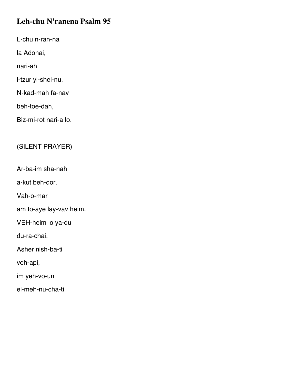# **Leh-chu N'ranena Psalm 95**

L-chu n-ran-na

la Adonai,

nari-ah

l-tzur yi-shei-nu.

N-kad-mah fa-nav

beh-toe-dah,

Biz-mi-rot nari-a lo.

## (SILENT PRAYER)

Ar-ba-im sha-nah

a-kut beh-dor.

Vah-o-mar

am to-aye lay-vav heim.

VEH-heim lo ya-du

du-ra-chai.

Asher nish-ba-ti

veh-api,

im yeh-vo-un

el-meh-nu-cha-ti.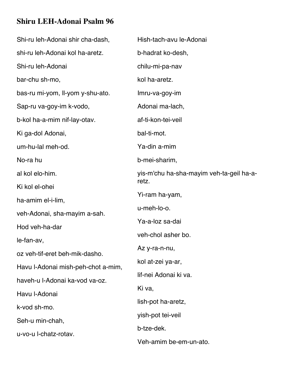# **Shiru LEH-Adonai Psalm 96**

| Shi-ru leh-Adonai shir cha-dash,   | Hish-tach-avu le-Adonai                  |
|------------------------------------|------------------------------------------|
| shi-ru leh-Adonai kol ha-aretz.    | b-hadrat ko-desh,                        |
| Shi-ru leh-Adonai                  | chilu-mi-pa-nav                          |
| bar-chu sh-mo,                     | kol ha-aretz.                            |
| bas-ru mi-yom, Il-yom y-shu-ato.   | Imru-va-goy-im                           |
| Sap-ru va-goy-im k-vodo,           | Adonai ma-lach,                          |
| b-kol ha-a-mim nif-lay-otav.       | af-ti-kon-tei-veil                       |
| Ki ga-dol Adonai,                  | bal-ti-mot.                              |
| um-hu-lal meh-od.                  | Ya-din a-mim                             |
| No-ra hu                           | b-mei-sharim,                            |
| al kol elo-him.                    | yis-m'chu ha-sha-mayim veh-ta-geil ha-a- |
| Ki kol el-ohei                     | retz.                                    |
| ha-amim el-i-lim,                  | Yi-ram ha-yam,                           |
| veh-Adonai, sha-mayim a-sah.       | u-meh-lo-o.                              |
| Hod veh-ha-dar                     | Ya-a-loz sa-dai                          |
| le-fan-av,                         | veh-chol asher bo.                       |
| oz veh-tif-eret beh-mik-dasho.     | Az y-ra-n-nu,                            |
| Havu I-Adonai mish-peh-chot a-mim, | kol at-zei ya-ar,                        |
| haveh-u I-Adonai ka-vod va-oz.     | lif-nei Adonai ki va.                    |
| Havu I-Adonai                      | Ki va,                                   |
| k-vod sh-mo.                       | lish-pot ha-aretz,                       |
| Seh-u min-chah,                    | yish-pot tei-veil                        |
| u-vo-u l-chatz-rotav.              | b-tze-dek.                               |
|                                    | Veh-amim be-em-un-ato.                   |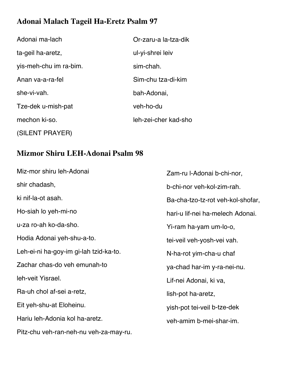# **Adonai Malach Tageil Ha-Eretz Psalm 97**

| Adonai ma-lach         | Or-zaru-a la-tza-dik |
|------------------------|----------------------|
| ta-geil ha-aretz,      | ul-yi-shrei leiv     |
| yis-meh-chu im ra-bim. | sim-chah.            |
| Anan va-a-ra-fel       | Sim-chu tza-di-kim   |
| she-vi-vah.            | bah-Adonai,          |
| Tze-dek u-mish-pat     | veh-ho-du            |
| mechon ki-so.          | leh-zei-cher kad-sho |
| (SILENT PRAYER)        |                      |

# **Mizmor Shiru LEH-Adonai Psalm 98**

| Miz-mor shiru leh-Adonai               | Zam-ru I-Adonai b-chi-nor,        |
|----------------------------------------|-----------------------------------|
| shir chadash,                          | b-chi-nor veh-kol-zim-rah.        |
| ki nif-la-ot asah.                     | Ba-cha-tzo-tz-rot veh-kol-shofar, |
| Ho-siah lo yeh-mi-no                   | hari-u lif-nei ha-melech Adonai.  |
| u-za ro-ah ko-da-sho.                  | Yi-ram ha-yam um-lo-o,            |
| Hodia Adonai yeh-shu-a-to.             | tei-veil veh-yosh-vei vah.        |
| Leh-ei-ni ha-goy-im gi-lah tzid-ka-to. | N-ha-rot yim-cha-u chaf           |
| Zachar chas-do veh emunah-to           | ya-chad har-im y-ra-nei-nu.       |
| leh-veit Yisrael.                      | Lif-nei Adonai, ki va,            |
| Ra-uh chol af-sei a-retz,              | lish-pot ha-aretz,                |
| Eit yeh-shu-at Eloheinu.               | yish-pot tei-veil b-tze-dek       |
| Hariu leh-Adonia kol ha-aretz.         | veh-amim b-mei-shar-im.           |
| Pitz-chu veh-ran-neh-nu veh-za-may-ru. |                                   |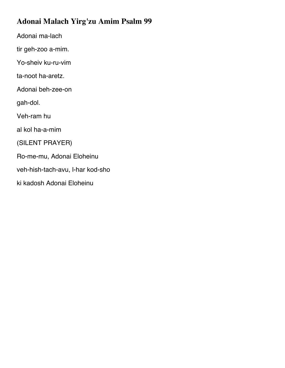# **Adonai Malach Yirg'zu Amim Psalm 99**

Adonai ma-lach

tir geh-zoo a-mim.

Yo-sheiv ku-ru-vim

ta-noot ha-aretz.

Adonai beh-zee-on

gah-dol.

Veh-ram hu

al kol ha-a-mim

(SILENT PRAYER)

Ro-me-mu, Adonai Eloheinu

veh-hish-tach-avu, l-har kod-sho

ki kadosh Adonai Eloheinu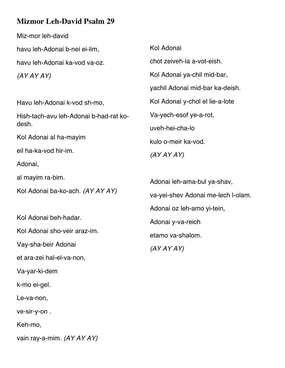# **Mizmor Leh-David Psalm 29**

Miz-mor leh-david havu leh-Adonai b-nei ei-lim, havu leh-Adonai ka-vod va-oz. *(AY AY AY)* Havu leh-Adonai k-vod sh-mo, Hish-tach-avu leh-Adonai b-had-rat kodesh. Kol Adonai al ha-mayim eil ha-ka-vod hir-im. Adonai, al mayim ra-bim. Kol Adonai ba-ko-ach. *(AY AY AY)* Kol Adonai beh-hadar. Kol Adonai sho-veir araz-im. Vay-sha-beir Adonai et ara-zei hal-el-va-non, Kol Adonai chot zeiveh-la a-vot-eish. Kol Adonai ya-chil mid-bar, yachil Adonai mid-bar ka-deish. Kol Adonai y-chol el lie-a-lote Va-yech-esof ye-a-rot, uveh-hei-cha-lo kulo o-meir ka-vod. *(AY AY AY)* Adonai leh-ama-bul ya-shav, va-yei-shev Adonai me-lech l-olam. Adonai oz leh-amo yi-tein, Adonai y-va-reich etamo va-shalom. *(AY AY AY)*

Va-yar-ki-dem

k-mo ei-gel.

Le-va-non,

ve-sir-y-on .

Keh-mo,

vain ray-a-mim. *(AY AY AY)*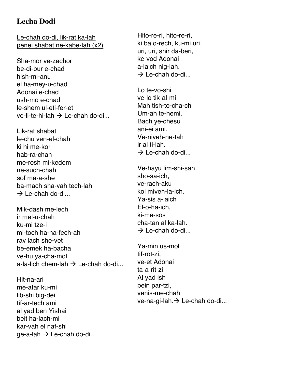## **Lecha Dodi**

Le-chah do-di, lik-rat ka-lah penei shabat ne-kabe-lah (x2)

Sha-mor ve-zachor be-di-bur e-chad hish-mi-anu el ha-mey-u-chad Adonai e-chad ush-mo e-chad le-shem ul-eti-fer-et ve-li-te-hi-lah  $\rightarrow$  Le-chah do-di...

- Lik-rat shabat le-chu ven-el-chah ki hi me-kor hab-ra-chah me-rosh mi-kedem ne-such-chah sof ma-a-she ba-mach sha-vah tech-lah  $\rightarrow$  Le-chah do-di...
- Mik-dash me-lech ir mel-u-chah ku-mi tze-i mi-toch ha-ha-fech-ah rav lach she-vet be-emek ha-bacha ve-hu ya-cha-mol a-la-lich chem-lah  $\rightarrow$  Le-chah do-di
- Hit-na-ari me-afar ku-mi lib-shi big-dei tif-ar-tech ami al yad ben Yishai beit ha-lach-mi kar-vah el naf-shi ge-a-lah  $\rightarrow$  Le-chah do-di...

Hito-re-ri, hito-re-ri, ki ba o-rech, ku-mi uri, uri, uri, shir da-beri, ke-vod Adonai a-laich nig-lah.  $\rightarrow$  Le-chah do-di...

Lo te-vo-shi ve-lo tik-al-mi. Mah tish-to-cha-chi Um-ah te-hemi. Bach ye-chesu ani-ei ami. Ve-niveh-ne-tah ir al ti-lah.  $\rightarrow$  Le-chah do-di...

Ve-hayu lim-shi-sah sho-sa-ich, ve-rach-aku kol miveh-la-ich. Ya-sis a-laich El-o-ha-ich, ki-me-sos cha-tan al ka-lah.  $\rightarrow$  Le-chah do-di...

Ya-min us-mol tif-rot-zi, ve-et Adonai ta-a-rit-zi. Al yad ish bein par-tzi, venis-me-chah ve-na-gi-lah. $\rightarrow$  Le-chah do-di...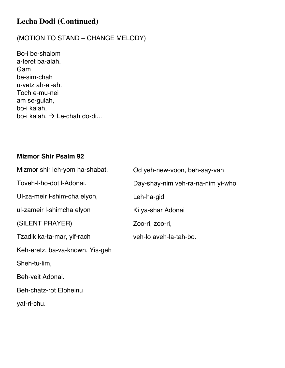# **Lecha Dodi (Continued)**

### (MOTION TO STAND – CHANGE MELODY)

Bo-i be-shalom a-teret ba-alah. Gam be-sim-chah u-vetz ah-al-ah. Toch e-mu-nei am se-gulah, bo-i kalah, bo-i kalah.  $\rightarrow$  Le-chah do-di...

#### **Mizmor Shir Psalm 92**

| Mizmor shir leh-yom ha-shabat.  | Od yeh-new-voon, beh-say-vah      |
|---------------------------------|-----------------------------------|
| Toveh-I-ho-dot I-Adonai.        | Day-shay-nim veh-ra-na-nim yi-who |
| UI-za-meir I-shim-cha elyon,    | Leh-ha-gid                        |
| ul-zameir l-shimcha elyon       | Ki ya-shar Adonai                 |
| (SILENT PRAYER)                 | Zoo-ri, zoo-ri,                   |
| Tzadik ka-ta-mar, yif-rach      | veh-lo aveh-la-tah-bo.            |
| Keh-eretz, ba-va-known, Yis-geh |                                   |
| Sheh-tu-lim,                    |                                   |
| Beh-veit Adonai.                |                                   |
| <b>Beh-chatz-rot Eloheinu</b>   |                                   |
|                                 |                                   |

yaf-ri-chu.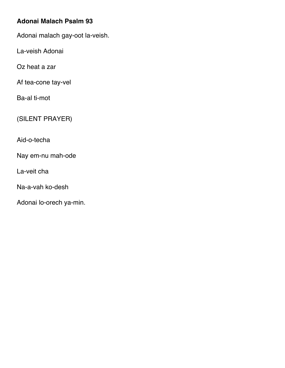### **Adonai Malach Psalm 93**

Adonai malach gay-oot la-veish.

La-veish Adonai

Oz heat a zar

Af tea-cone tay-vel

Ba-al ti-mot

(SILENT PRAYER)

Aid-o-techa

Nay em-nu mah-ode

La-veit cha

Na-a-vah ko-desh

Adonai lo-orech ya-min.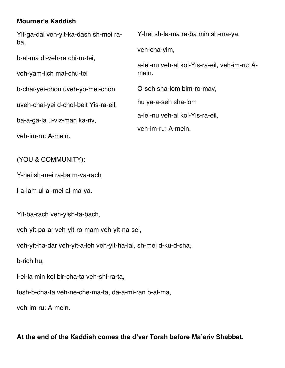### **Mourner's Kaddish**

Yit-ga-dal veh-yit-ka-dash sh-mei raba, b-al-ma di-veh-ra chi-ru-tei, veh-yam-lich mal-chu-tei b-chai-yei-chon uveh-yo-mei-chon uveh-chai-yei d-chol-beit Yis-ra-eil, ba-a-ga-la u-viz-man ka-riv, veh-im-ru: A-mein. Y-hei sh-la-ma ra-ba min sh-ma-ya, veh-cha-yim, a-lei-nu veh-al kol-Yis-ra-eil, veh-im-ru: Amein. O-seh sha-lom bim-ro-mav, hu ya-a-seh sha-lom a-lei-nu veh-al kol-Yis-ra-eil, veh-im-ru: A-mein.

(YOU & COMMUNITY):

Y-hei sh-mei ra-ba m-va-rach

l-a-lam ul-al-mei al-ma-ya.

Yit-ba-rach veh-yish-ta-bach,

veh-yit-pa-ar veh-yit-ro-mam veh-yit-na-sei,

veh-yit-ha-dar veh-yit-a-leh veh-yit-ha-lal, sh-mei d-ku-d-sha,

b-rich hu,

l-ei-la min kol bir-cha-ta veh-shi-ra-ta,

tush-b-cha-ta veh-ne-che-ma-ta, da-a-mi-ran b-al-ma,

veh-im-ru: A-mein.

**At the end of the Kaddish comes the d'var Torah before Ma'ariv Shabbat.**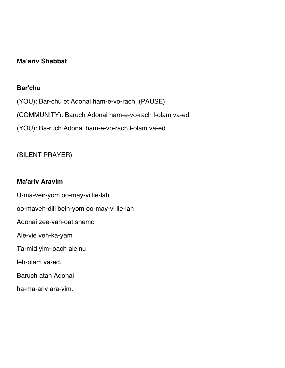#### **Ma'ariv Shabbat**

#### **Bar'chu**

(YOU): Bar-chu et Adonai ham-e-vo-rach. (PAUSE) (COMMUNITY): Baruch Adonai ham-e-vo-rach l-olam va-ed (YOU): Ba-ruch Adonai ham-e-vo-rach l-olam va-ed

## (SILENT PRAYER)

#### **Ma'ariv Aravim**

U-ma-veir-yom oo-may-vi lie-lah oo-maveh-dill bein-yom oo-may-vi lie-lah Adonai zee-vah-oat shemo Ale-vie veh-ka-yam Ta-mid yim-loach aleinu leh-olam va-ed. Baruch atah Adonai ha-ma-ariv ara-vim.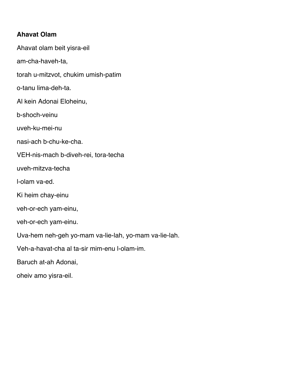#### **Ahavat Olam**

Ahavat olam beit yisra-eil am-cha-haveh-ta, torah u-mitzvot, chukim umish-patim o-tanu lima-deh-ta. Al kein Adonai Eloheinu, b-shoch-veinu uveh-ku-mei-nu nasi-ach b-chu-ke-cha. VEH-nis-mach b-diveh-rei, tora-techa uveh-mitzva-techa l-olam va-ed. Ki heim chay-einu veh-or-ech yam-einu, veh-or-ech yam-einu. Uva-hem neh-geh yo-mam va-lie-lah, yo-mam va-lie-lah. Veh-a-havat-cha al ta-sir mim-enu l-olam-im. Baruch at-ah Adonai,

oheiv amo yisra-eil.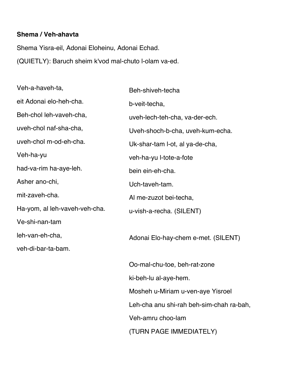#### **Shema / Veh-ahavta**

Shema Yisra-eil, Adonai Eloheinu, Adonai Echad. (QUIETLY): Baruch sheim k'vod mal-chuto l-olam va-ed.

| Veh-a-haveh-ta,               | Beh-shiveh-techa                         |  |
|-------------------------------|------------------------------------------|--|
| eit Adonai elo-heh-cha.       | b-veit-techa,                            |  |
| Beh-chol leh-vaveh-cha,       | uveh-lech-teh-cha, va-der-ech.           |  |
| uveh-chol naf-sha-cha,        | Uveh-shoch-b-cha, uveh-kum-echa.         |  |
| uveh-chol m-od-eh-cha.        | Uk-shar-tam I-ot, al ya-de-cha,          |  |
| Veh-ha-yu                     | veh-ha-yu l-tote-a-fote                  |  |
| had-va-rim ha-aye-leh.        | bein ein-eh-cha.                         |  |
| Asher ano-chi,                | Uch-taveh-tam.                           |  |
| mit-zaveh-cha.                | Al me-zuzot bei-techa,                   |  |
| Ha-yom, al leh-vaveh-veh-cha. | u-vish-a-recha. (SILENT)                 |  |
| Ve-shi-nan-tam                |                                          |  |
| leh-van-eh-cha,               | Adonai Elo-hay-chem e-met. (SILENT)      |  |
| veh-di-bar-ta-bam.            |                                          |  |
|                               | Oo-mal-chu-toe, beh-rat-zone             |  |
|                               | ki-beh-lu al-aye-hem.                    |  |
|                               | Mosheh u-Miriam u-ven-aye Yisroel        |  |
|                               | Leh-cha anu shi-rah beh-sim-chah ra-bah, |  |
|                               | Veh-amru choo-lam                        |  |

(TURN PAGE IMMEDIATELY)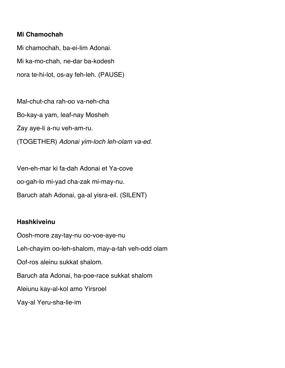#### **Mi Chamochah**

Mi chamochah, ba-ei-lim Adonai. Mi ka-mo-chah, ne-dar ba-kodesh nora te-hi-lot, os-ay feh-leh. (PAUSE)

Mal-chut-cha rah-oo va-neh-cha Bo-kay-a yam, leaf-nay Mosheh Zay aye-li a-nu veh-am-ru. (TOGETHER) *Adonai yim-loch leh-olam va-ed.*

Ven-eh-mar ki fa-dah Adonai et Ya-cove oo-gah-lo mi-yad cha-zak mi-may-nu. Baruch atah Adonai, ga-al yisra-eil. (SILENT)

#### **Hashkiveinu**

Oosh-more zay-tay-nu oo-voe-aye-nu Leh-chayim oo-leh-shalom, may-a-tah veh-odd olam Oof-ros aleinu sukkat shalom. Baruch ata Adonai, ha-poe-race sukkat shalom Aleiunu kay-al-kol amo Yirsroel Vay-al Yeru-sha-lie-im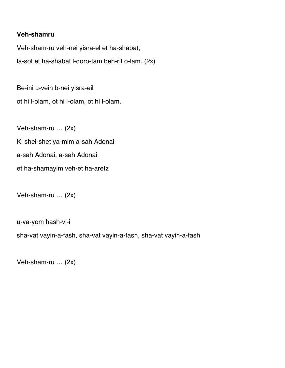#### **Veh-shamru**

Veh-sham-ru veh-nei yisra-el et ha-shabat, la-sot et ha-shabat l-doro-tam beh-rit o-lam. (2x)

Be-ini u-vein b-nei yisra-eil ot hi l-olam, ot hi l-olam, ot hi l-olam.

Veh-sham-ru … (2x) Ki shei-shet ya-mim a-sah Adonai a-sah Adonai, a-sah Adonai et ha-shamayim veh-et ha-aretz

Veh-sham-ru … (2x)

u-va-yom hash-vi-i

sha-vat vayin-a-fash, sha-vat vayin-a-fash, sha-vat vayin-a-fash

Veh-sham-ru … (2x)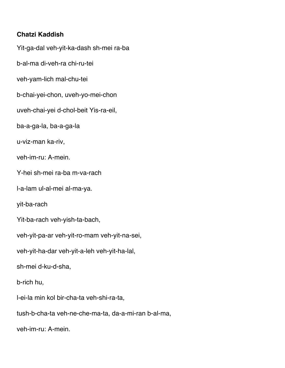#### **Chatzi Kaddish**

Yit-ga-dal veh-yit-ka-dash sh-mei ra-ba b-al-ma di-veh-ra chi-ru-tei veh-yam-lich mal-chu-tei b-chai-yei-chon, uveh-yo-mei-chon uveh-chai-yei d-chol-beit Yis-ra-eil, ba-a-ga-la, ba-a-ga-la u-viz-man ka-riv, veh-im-ru: A-mein. Y-hei sh-mei ra-ba m-va-rach l-a-lam ul-al-mei al-ma-ya. yit-ba-rach Yit-ba-rach veh-yish-ta-bach, veh-yit-pa-ar veh-yit-ro-mam veh-yit-na-sei, veh-yit-ha-dar veh-yit-a-leh veh-yit-ha-lal, sh-mei d-ku-d-sha, b-rich hu, l-ei-la min kol bir-cha-ta veh-shi-ra-ta, tush-b-cha-ta veh-ne-che-ma-ta, da-a-mi-ran b-al-ma, veh-im-ru: A-mein.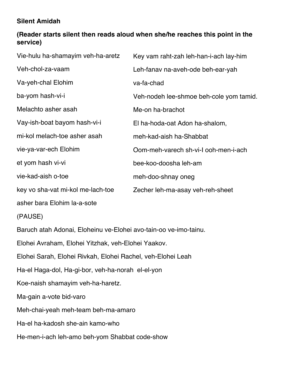## **Silent Amidah**

## **(Reader starts silent then reads aloud when she/he reaches this point in the service)**

| Vie-hulu ha-shamayim veh-ha-aretz                                | Key vam raht-zah leh-han-i-ach lay-him  |  |
|------------------------------------------------------------------|-----------------------------------------|--|
| Veh-chol-za-vaam                                                 | Leh-fanav na-aveh-ode beh-ear-yah       |  |
| Va-yeh-chal Elohim                                               | va-fa-chad                              |  |
| ba-yom hash-vi-i                                                 | Veh-nodeh lee-shmoe beh-cole yom tamid. |  |
| Melachto asher asah                                              | Me-on ha-brachot                        |  |
| Vay-ish-boat bayom hash-vi-i                                     | El ha-hoda-oat Adon ha-shalom,          |  |
| mi-kol melach-toe asher asah                                     | meh-kad-aish ha-Shabbat                 |  |
| vie-ya-var-ech Elohim                                            | Oom-meh-varech sh-vi-I ooh-men-i-ach    |  |
| et yom hash vi-vi                                                | bee-koo-doosha leh-am                   |  |
| vie-kad-aish o-toe                                               | meh-doo-shnay oneg                      |  |
| key vo sha-vat mi-kol me-lach-toe                                | Zecher leh-ma-asay veh-reh-sheet        |  |
| asher bara Elohim la-a-sote                                      |                                         |  |
| (PAUSE)                                                          |                                         |  |
| Baruch atah Adonai, Eloheinu ve-Elohei avo-tain-oo ve-imo-tainu. |                                         |  |
| Elohei Avraham, Elohei Yitzhak, veh-Elohei Yaakov.               |                                         |  |
| Elohei Sarah, Elohei Rivkah, Elohei Rachel, veh-Elohei Leah      |                                         |  |
| Ha-el Haga-dol, Ha-gi-bor, veh-ha-norah el-el-yon                |                                         |  |
| Koe-naish shamayim veh-ha-haretz.                                |                                         |  |
| Ma-gain a-vote bid-varo                                          |                                         |  |
| Meh-chai-yeah meh-team beh-ma-amaro                              |                                         |  |

Ha-el ha-kadosh she-ain kamo-who

He-men-i-ach leh-amo beh-yom Shabbat code-show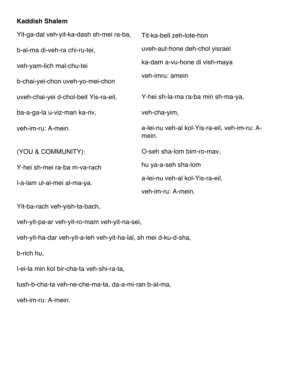### **Kaddish Shalem**

| Yit-ga-dal veh-yit-ka-dash sh-mei ra-ba, | Tit-ka-bell zeh-lote-hon                               |
|------------------------------------------|--------------------------------------------------------|
| b-al-ma di-veh-ra chi-ru-tei,            | uveh-aut-hone deh-chol yisrael                         |
| veh-yam-lich mal-chu-tei                 | ka-dam a-vu-hone di vish-maya                          |
| b-chai-yei-chon uveh-yo-mei-chon         | veh-imru: amein                                        |
| uveh-chai-yei d-chol-beit Yis-ra-eil,    | Y-hei sh-la-ma ra-ba min sh-ma-ya,                     |
| ba-a-ga-la u-viz-man ka-riv,             | veh-cha-yim,                                           |
| veh-im-ru: A-mein.                       | a-lei-nu veh-al kol-Yis-ra-eil, veh-im-ru: A-<br>mein. |
| (YOU & COMMUNITY):                       | O-seh sha-lom bim-ro-mav,                              |
| Y-hei sh-mei ra-ba m-va-rach             | hu ya-a-seh sha-lom                                    |
| I-a-lam ul-al-mei al-ma-ya.              | a-lei-nu veh-al kol-Yis-ra-eil,                        |
|                                          | veh-im-ru: A-mein.                                     |

Yit-ba-rach veh-yish-ta-bach,

veh-yit-pa-ar veh-yit-ro-mam veh-yit-na-sei,

veh-yit-ha-dar veh-yit-a-leh veh-yit-ha-lal, sh mei d-ku-d-sha,

b-rich hu,

l-ei-la min kol bir-cha-ta veh-shi-ra-ta,

tush-b-cha-ta veh-ne-che-ma-ta, da-a-mi-ran b-al-ma,

veh-im-ru: A-mein.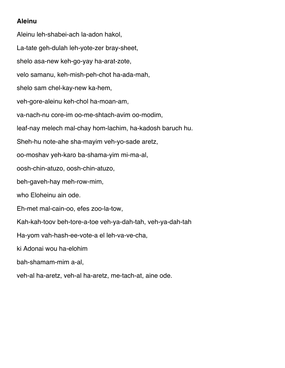## **Aleinu**

Aleinu leh-shabei-ach la-adon hakol, La-tate geh-dulah leh-yote-zer bray-sheet, shelo asa-new keh-go-yay ha-arat-zote, velo samanu, keh-mish-peh-chot ha-ada-mah, shelo sam chel-kay-new ka-hem, veh-gore-aleinu keh-chol ha-moan-am, va-nach-nu core-im oo-me-shtach-avim oo-modim, leaf-nay melech mal-chay hom-lachim, ha-kadosh baruch hu. Sheh-hu note-ahe sha-mayim veh-yo-sade aretz, oo-moshav yeh-karo ba-shama-yim mi-ma-al, oosh-chin-atuzo, oosh-chin-atuzo, beh-gaveh-hay meh-row-mim, who Eloheinu ain ode. Eh-met mal-cain-oo, efes zoo-la-tow, Kah-kah-toov beh-tore-a-toe veh-ya-dah-tah, veh-ya-dah-tah Ha-yom vah-hash-ee-vote-a el leh-va-ve-cha, ki Adonai wou ha-elohim bah-shamam-mim a-al, veh-al ha-aretz, veh-al ha-aretz, me-tach-at, aine ode.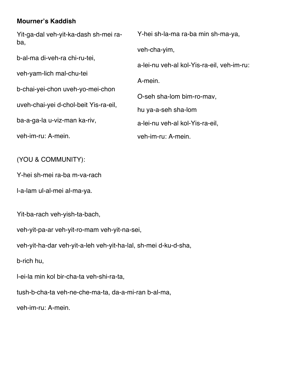### **Mourner's Kaddish**

Yit-ga-dal veh-yit-ka-dash sh-mei raba, b-al-ma di-veh-ra chi-ru-tei, veh-yam-lich mal-chu-tei b-chai-yei-chon uveh-yo-mei-chon uveh-chai-yei d-chol-beit Yis-ra-eil, ba-a-ga-la u-viz-man ka-riv, veh-im-ru: A-mein. Y-hei sh-la-ma ra-ba min sh-ma-ya, veh-cha-yim, a-lei-nu veh-al kol-Yis-ra-eil, veh-im-ru: A-mein. O-seh sha-lom bim-ro-mav, hu ya-a-seh sha-lom a-lei-nu veh-al kol-Yis-ra-eil, veh-im-ru: A-mein.

(YOU & COMMUNITY):

Y-hei sh-mei ra-ba m-va-rach

l-a-lam ul-al-mei al-ma-ya.

Yit-ba-rach veh-yish-ta-bach,

veh-yit-pa-ar veh-yit-ro-mam veh-yit-na-sei,

veh-yit-ha-dar veh-yit-a-leh veh-yit-ha-lal, sh-mei d-ku-d-sha,

b-rich hu,

l-ei-la min kol bir-cha-ta veh-shi-ra-ta,

tush-b-cha-ta veh-ne-che-ma-ta, da-a-mi-ran b-al-ma,

veh-im-ru: A-mein.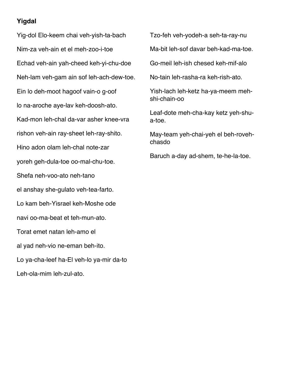### **Yigdal**

Yig-dol Elo-keem chai veh-yish-ta-bach Nim-za veh-ain et el meh-zoo-i-toe Echad veh-ain yah-cheed keh-yi-chu-doe Neh-lam veh-gam ain sof leh-ach-dew-toe. Ein lo deh-moot hagoof vain-o g-oof lo na-aroche aye-lav keh-doosh-ato. Kad-mon leh-chal da-var asher knee-vra rishon veh-ain ray-sheet leh-ray-shito. Hino adon olam leh-chal note-zar yoreh geh-dula-toe oo-mal-chu-toe. Shefa neh-voo-ato neh-tano el anshay she-gulato veh-tea-farto. Lo kam beh-Yisrael keh-Moshe ode navi oo-ma-beat et teh-mun-ato. Torat emet natan leh-amo el al yad neh-vio ne-eman beh-ito. Lo ya-cha-leef ha-El veh-lo ya-mir da-to Leh-ola-mim leh-zul-ato.

Tzo-feh veh-yodeh-a seh-ta-ray-nu

Ma-bit leh-sof davar beh-kad-ma-toe.

Go-meil leh-ish chesed keh-mif-alo

No-tain leh-rasha-ra keh-rish-ato.

Yish-lach leh-ketz ha-ya-meem mehshi-chain-oo

Leaf-dote meh-cha-kay ketz yeh-shua-toe.

May-team yeh-chai-yeh el beh-rovehchasdo

Baruch a-day ad-shem, te-he-la-toe.